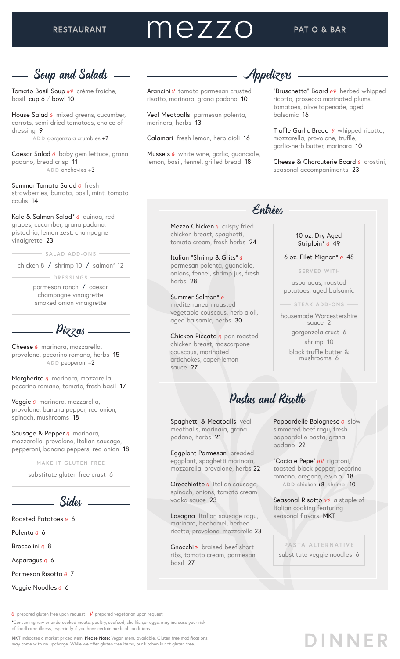# mezzo

# Soup and Salads

Tomato Basil Soup av crème fraiche, basil cup 6 / bowl 10

House Salad G mixed greens, cucumber, carrots, semi-dried tomatoes, choice of dressing 9 **ADD** gorgonzola crumbles +2

Caesar Salad G baby gem lettuce, grana padano, bread crisp 11 **ADD** anchovies +3

Summer Tomato Salad G fresh strawberries, burrata, basil, mint, tomato coulis 14

Kale & Salmon Salad<sup>\*</sup> G quinoa, red grapes, cucumber, grana padano, pistachio, lemon zest, champagne vinaigrette 23

**SALAD ADD-ONS**

chicken 8 / shrimp 10 / salmon\* 12

**DRESSINGS**

parmesan ranch / caesar champagne vinaigrette smoked onion vinaigrette

Pizzas-

Cheese *G* marinara, mozzarella, provolone, pecorino romano, herbs 15 **ADD** pepperoni +2

Margherita G marinara, mozzarella, pecorino romano, tomato, fresh basil 17

Veggie *a* marinara, mozzarella, provolone, banana pepper, red onion, spinach, mushrooms 18

Sausage & Pepper G marinara, mozzarella, provolone, Italian sausage, pepperoni, banana peppers, red onion 18

**MAKE IT GLUTEN FREE**

substitute gluten free crust 6

Sides

Roasted Potatoes <sub>G</sub> 6

Polenta G 6

Broccolini <sub>G</sub> 8

Asparagus <sub>G</sub> 6

Parmesan Risotto <sub>G</sub> 7

Veggie Noodles <sub>G</sub> 6

Arancini  $v$  tomato parmesan crusted risotto, marinara, grana padano 10

Veal Meatballs parmesan polenta, marinara, herbs 13

Calamari fresh lemon, herb aioli 16

Mussels  $6$  white wine, garlic, guanciale, lemon, basil, fennel, grilled bread 18

# Appetizer

"Bruschetta" Board  $g\bar{v}$  herbed whipped ricotta, prosecco marinated plums, tomatoes, olive tapenade, aged balsamic 16

Truffle Garlic Bread  $v$  whipped ricotta, mozzarella, provolone, truffle, garlic-herb butter, marinara 10

Cheese & Charcuterie Board  $q$  crostini, seasonal accompaniments 23

# Entrées

Mezzo Chicken G crispy fried chicken breast, spaghetti, tomato cream, fresh herbs 24

Italian "Shrimp & Grits" <sup>G</sup> parmesan polenta, guanciale, onions, fennel, shrimp jus, fresh herbs 28

#### Summer Salmon\* <sup>G</sup> mediterranean roasted vegetable couscous, herb aioli, aged balsamic, herbs 30

Chicken Piccata G pan roasted chicken breast, mascarpone couscous, marinated artichokes, caper-lemon sauce 27

#### 10 oz. Dry Aged Striploin\* <sub>G</sub> 49

#### 6 oz. Filet Mignon\* G 48

**SERVED WITH**

asparagus, roasted potatoes, aged balsamic

**STEAK ADD-ONS**

housemade Worcestershire sauce 2

> gorgonzola crust 6 shrimp 10

black truffle butter & mushrooms 6

# Pastas and Risotto

Spaghetti & Meatballs veal meatballs, marinara, grana padano, herbs 21

Eggplant Parmesan breaded eggplant, spaghetti marinara, mozzarella, provolone, herbs 22

Orecchiette G Italian sausage, spinach, onions, tomato cream vodka sauce 23

Lasagna Italian sausage ragu, marinara, bechamel, herbed ricotta, provolone, mozzarella 23

Gnocchi  $v$  braised beef short ribs, tomato cream, parmesan, basil 27

Pappardelle Bolognese G slow simmered beef ragu, fresh pappardelle pasta, grana padano 22

"Cacio e Pepe"  $a\mathbf{v}$  rigatoni, toasted black pepper, pecorino romano, oregano, e.v.o.o. 18 **ADD** chicken +8 shrimp +10

Seasonal Risotto  $70$  a staple of Italian cooking featuring seasonal flavors MKT



**DINNER**

 $\boldsymbol{G}$  prepared gluten free upon request  $\boldsymbol{\mathit{V}}$  prepared vegetarian upon request

\*Consuming raw or undercooked meats, poultry, seafood, shellfish,or eggs, may increase your risk of foodborne illness, especially if you have certain medical conditions.

MKT indicates a market priced item. Please Note: Vegan menu available. Gluten free modifications may come with an upcharge. While we offer gluten free items, our kitchen is not gluten free.